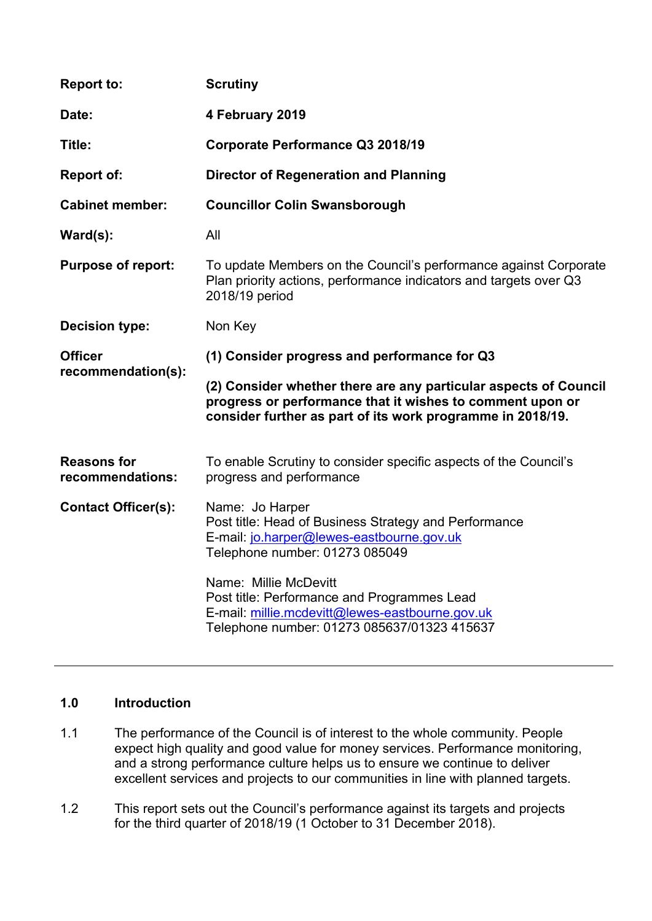| <b>Report to:</b>                      | <b>Scrutiny</b>                                                                                                                                                                             |
|----------------------------------------|---------------------------------------------------------------------------------------------------------------------------------------------------------------------------------------------|
| Date:                                  | 4 February 2019                                                                                                                                                                             |
| Title:                                 | Corporate Performance Q3 2018/19                                                                                                                                                            |
| <b>Report of:</b>                      | <b>Director of Regeneration and Planning</b>                                                                                                                                                |
| <b>Cabinet member:</b>                 | <b>Councillor Colin Swansborough</b>                                                                                                                                                        |
| $\textsf{Ward}(s)$ :                   | All                                                                                                                                                                                         |
| <b>Purpose of report:</b>              | To update Members on the Council's performance against Corporate<br>Plan priority actions, performance indicators and targets over Q3<br>2018/19 period                                     |
| Decision type:                         | Non Key                                                                                                                                                                                     |
| <b>Officer</b>                         | (1) Consider progress and performance for Q3                                                                                                                                                |
| recommendation(s):                     | (2) Consider whether there are any particular aspects of Council<br>progress or performance that it wishes to comment upon or<br>consider further as part of its work programme in 2018/19. |
| <b>Reasons for</b><br>recommendations: | To enable Scrutiny to consider specific aspects of the Council's<br>progress and performance                                                                                                |
| <b>Contact Officer(s):</b>             | Name: Jo Harper<br>Post title: Head of Business Strategy and Performance<br>E-mail: jo.harper@lewes-eastbourne.gov.uk<br>Telephone number: 01273 085049                                     |
|                                        | Name: Millie McDevitt<br>Post title: Performance and Programmes Lead<br>E-mail: millie.mcdevitt@lewes-eastbourne.gov.uk<br>Telephone number: 01273 085637/01323 415637                      |

## **1.0 Introduction**

- 1.1 The performance of the Council is of interest to the whole community. People expect high quality and good value for money services. Performance monitoring, and a strong performance culture helps us to ensure we continue to deliver excellent services and projects to our communities in line with planned targets.
- 1.2 This report sets out the Council's performance against its targets and projects for the third quarter of 2018/19 (1 October to 31 December 2018).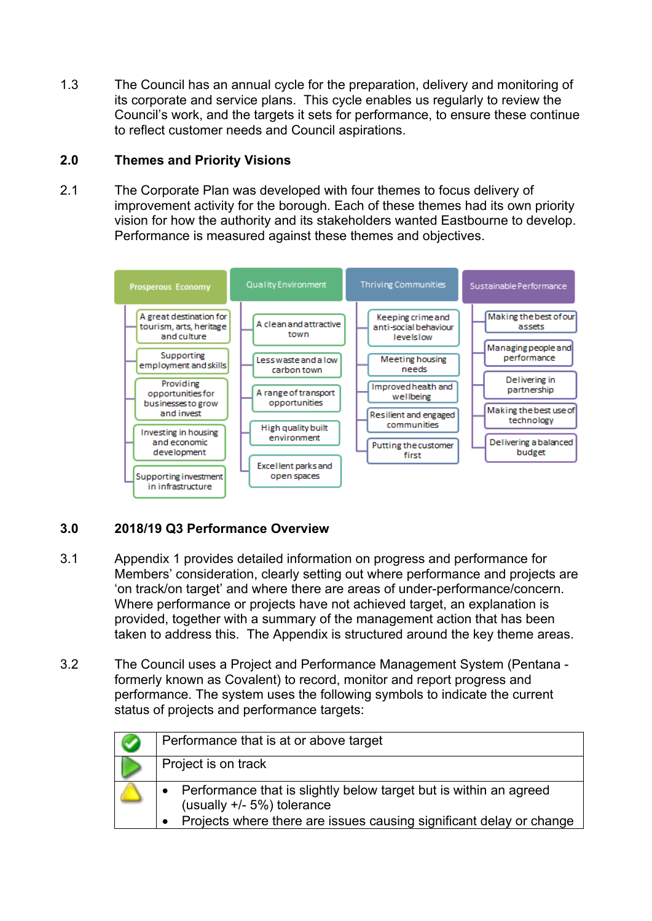1.3 The Council has an annual cycle for the preparation, delivery and monitoring of its corporate and service plans. This cycle enables us regularly to review the Council's work, and the targets it sets for performance, to ensure these continue to reflect customer needs and Council aspirations.

#### **2.0 Themes and Priority Visions**

2.1 The Corporate Plan was developed with four themes to focus delivery of improvement activity for the borough. Each of these themes had its own priority vision for how the authority and its stakeholders wanted Eastbourne to develop. Performance is measured against these themes and objectives.



# **3.0 2018/19 Q3 Performance Overview**

- 3.1 Appendix 1 provides detailed information on progress and performance for Members' consideration, clearly setting out where performance and projects are 'on track/on target' and where there are areas of under-performance/concern. Where performance or projects have not achieved target, an explanation is provided, together with a summary of the management action that has been taken to address this. The Appendix is structured around the key theme areas.
- 3.2 The Council uses a Project and Performance Management System (Pentana formerly known as Covalent) to record, monitor and report progress and performance. The system uses the following symbols to indicate the current status of projects and performance targets:

| Performance that is at or above target                                                                                                                                    |
|---------------------------------------------------------------------------------------------------------------------------------------------------------------------------|
| Project is on track                                                                                                                                                       |
| Performance that is slightly below target but is within an agreed<br>(usually $+/-5\%$ ) tolerance<br>Projects where there are issues causing significant delay or change |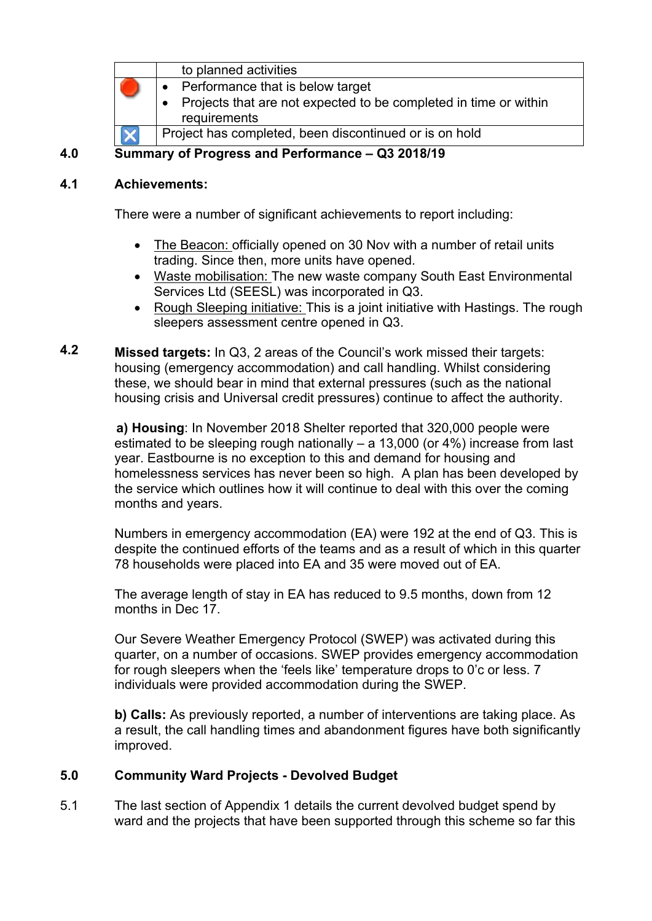| to planned activities                                                            |
|----------------------------------------------------------------------------------|
| Performance that is below target                                                 |
| Projects that are not expected to be completed in time or within<br>requirements |
| Project has completed, been discontinued or is on hold                           |
|                                                                                  |

**4.0 Summary of Progress and Performance – Q3 2018/19**

#### **4.1 Achievements:**

There were a number of significant achievements to report including:

- The Beacon: officially opened on 30 Nov with a number of retail units trading. Since then, more units have opened.
- Waste mobilisation: The new waste company South East Environmental Services Ltd (SEESL) was incorporated in Q3.
- Rough Sleeping initiative: This is a joint initiative with Hastings. The rough sleepers assessment centre opened in Q3.
- **4.2 Missed targets:** In Q3, 2 areas of the Council's work missed their targets: housing (emergency accommodation) and call handling. Whilst considering these, we should bear in mind that external pressures (such as the national housing crisis and Universal credit pressures) continue to affect the authority.

**a) Housing**: In November 2018 Shelter reported that 320,000 people were estimated to be sleeping rough nationally – a 13,000 (or 4%) increase from last year. Eastbourne is no exception to this and demand for housing and homelessness services has never been so high. A plan has been developed by the service which outlines how it will continue to deal with this over the coming months and years.

Numbers in emergency accommodation (EA) were 192 at the end of Q3. This is despite the continued efforts of the teams and as a result of which in this quarter 78 households were placed into EA and 35 were moved out of EA.

The average length of stay in EA has reduced to 9.5 months, down from 12 months in Dec 17.

Our Severe Weather Emergency Protocol (SWEP) was activated during this quarter, on a number of occasions. SWEP provides emergency accommodation for rough sleepers when the 'feels like' temperature drops to 0'c or less. 7 individuals were provided accommodation during the SWEP.

**b) Calls:** As previously reported, a number of interventions are taking place. As a result, the call handling times and abandonment figures have both significantly improved.

#### **5.0 Community Ward Projects - Devolved Budget**

5.1 The last section of Appendix 1 details the current devolved budget spend by ward and the projects that have been supported through this scheme so far this